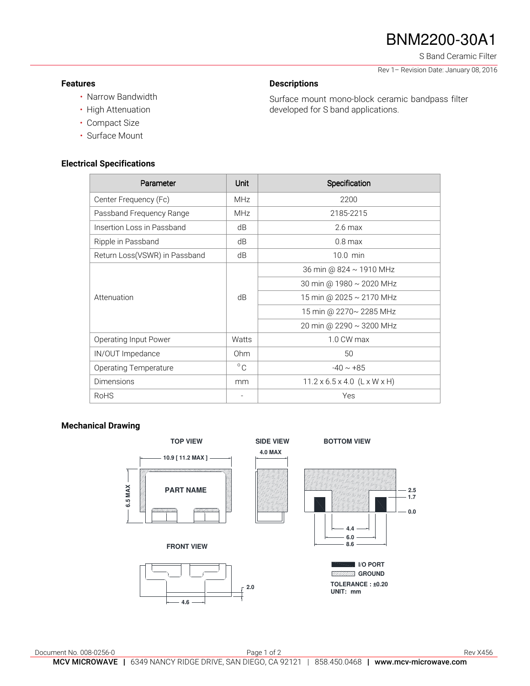# BNM2200-30A1

S Band Ceramic Filter

Rev 1– Revision Date: January 08, 2016

### **Features**

### **Descriptions**

• Narrow Bandwidth • High Attenuation

Surface mount mono-block ceramic bandpass filter developed for S band applications.

- Compact Size
- Surface Mount

#### **Electrical Specifications**

|              | Specification                            |
|--------------|------------------------------------------|
| <b>MHz</b>   | 2200                                     |
| <b>MHz</b>   | 2185-2215                                |
| dB           | $2.6 \text{ max}$                        |
| dB           | $0.8$ max                                |
| dB           | 10.0 min                                 |
| dB           | 36 min @ 824 ~ 1910 MHz                  |
|              | 30 min @ 1980 ~ 2020 MHz                 |
|              | 15 min @ 2025 ~ 2170 MHz                 |
|              | 15 min @ 2270~ 2285 MHz                  |
|              | 20 min @ 2290 ~ 3200 MHz                 |
| Watts        | 1.0 CW max                               |
| Ohm          | 50                                       |
| $^{\circ}$ C | $-40 \sim +85$                           |
| mm           | $11.2 \times 6.5 \times 4.0$ (L x W x H) |
|              | Yes                                      |
|              | <b>Unit</b>                              |

#### **Mechanical Drawing**